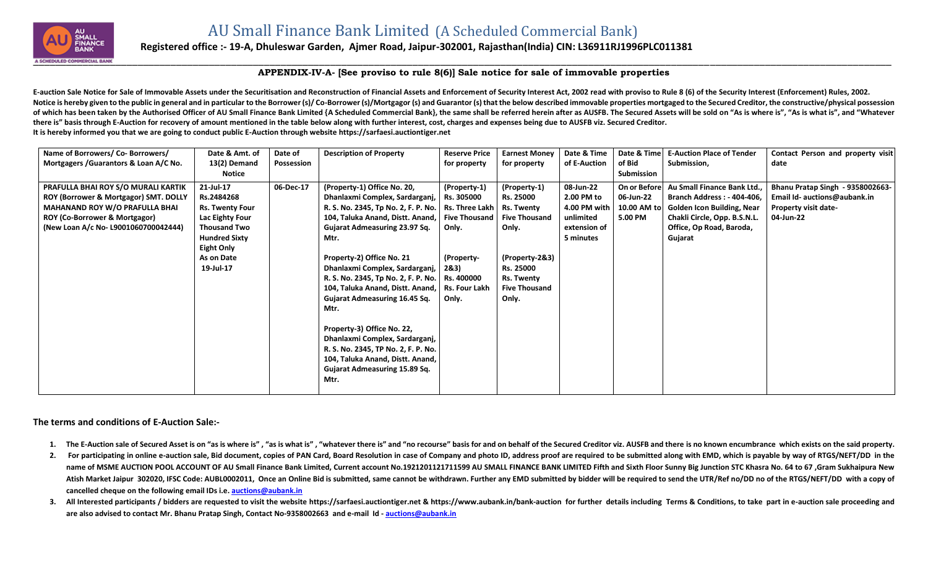

## **Registered office :- 19-A, Dhuleswar Garden, Ajmer Road, Jaipur-302001, Rajasthan(India) CIN: L36911RJ1996PLC011381**

## **APPENDIX-IV-A- [See proviso to rule 8(6)] Sale notice for sale of immovable properties**

E-auction Sale Notice for Sale of Immovable Assets under the Securitisation and Reconstruction of Financial Assets and Enforcement of Security Interest Act, 2002 read with proviso to Rule 8 (6) of the Security Interest (En Notice is hereby given to the public in general and in particular to the Borrower (s)/Co-Borrower (s)/Mortgagor (s) and Guarantor (s) that the below described immovable properties mortgaged to the Secured Creditor, the con of which has been taken by the Authorised Officer of AU Small Finance Bank Limited {A Scheduled Commercial Bank}, the same shall be referred herein after as AUSFB. The Secured Assets will be sold on "As is where is", "As i **there is" basis through E-Auction for recovery of amount mentioned in the table below along with further interest, cost, charges and expenses being due to AUSFB viz. Secured Creditor. It is hereby informed you that we are going to conduct public E-Auction through website [https://sarfaesi.auctiontiger.net](https://sarfaesi.auctiontiger.net/)** 

| Name of Borrowers/ Co- Borrowers/        | Date & Amt. of         | Date of    | <b>Description of Property</b>                       | <b>Reserve Price</b> | <b>Earnest Money</b> | Date & Time  | Date & Time  | <b>E-Auction Place of Tender</b>  | Contact Person and property visit |
|------------------------------------------|------------------------|------------|------------------------------------------------------|----------------------|----------------------|--------------|--------------|-----------------------------------|-----------------------------------|
| Mortgagers / Guarantors & Loan A/C No.   | 13(2) Demand           | Possession |                                                      | for property         | for property         | of E-Auction | of Bid       | Submission,                       | date                              |
|                                          | Notice                 |            |                                                      |                      |                      |              | Submission   |                                   |                                   |
| PRAFULLA BHAI ROY S/O MURALI KARTIK      | 21-Jul-17              | 06-Dec-17  | (Property-1) Office No. 20,                          | (Property-1)         | (Property-1)         | 08-Jun-22    | On or Before | Au Small Finance Bank Ltd.,       | Bhanu Pratap Singh - 9358002663-  |
| ROY (Borrower & Mortgagor) SMT. DOLLY    | Rs.2484268             |            | Dhanlaxmi Complex, Sardarganj,   Rs. 305000          |                      | Rs. 25000            | 2.00 PM to   | 06-Jun-22    | <b>Branch Address: - 404-406,</b> | Email Id- auctions@aubank.in      |
| <b>MAHANAND ROY W/O PRAFULLA BHAI</b>    | <b>Rs. Twenty Four</b> |            | R. S. No. 2345, Tp No. 2, F. P. No.   Rs. Three Lakh |                      | <b>Rs. Twenty</b>    | 4.00 PM with | 10.00 AM to  | <b>Golden Icon Building, Near</b> | <b>Property visit date-</b>       |
| <b>ROY (Co-Borrower &amp; Mortgagor)</b> | Lac Eighty Four        |            | 104, Taluka Anand, Distt. Anand,   Five Thousand     |                      | <b>Five Thousand</b> | unlimited    | 5.00 PM      | Chakli Circle, Opp. B.S.N.L.      | 04-Jun-22                         |
| (New Loan A/c No- L9001060700042444)     | <b>Thousand Two</b>    |            | Gujarat Admeasuring 23.97 Sq.                        | Only.                | Only.                | extension of |              | Office, Op Road, Baroda,          |                                   |
|                                          | <b>Hundred Sixty</b>   |            | Mtr.                                                 |                      |                      | 5 minutes    |              | Gujarat                           |                                   |
|                                          | <b>Eight Only</b>      |            |                                                      |                      |                      |              |              |                                   |                                   |
|                                          | As on Date             |            | Property-2) Office No. 21                            | (Property-           | (Property-2&3)       |              |              |                                   |                                   |
|                                          | 19-Jul-17              |            | Dhanlaxmi Complex, Sardarganj,   2&3)                |                      | Rs. 25000            |              |              |                                   |                                   |
|                                          |                        |            | R. S. No. 2345, Tp No. 2, F. P. No.   Rs. 400000     |                      | Rs. Twenty           |              |              |                                   |                                   |
|                                          |                        |            | 104, Taluka Anand, Distt. Anand,   Rs. Four Lakh     |                      | <b>Five Thousand</b> |              |              |                                   |                                   |
|                                          |                        |            | Gujarat Admeasuring 16.45 Sq.                        | Only.                | Only.                |              |              |                                   |                                   |
|                                          |                        |            | Mtr.                                                 |                      |                      |              |              |                                   |                                   |
|                                          |                        |            |                                                      |                      |                      |              |              |                                   |                                   |
|                                          |                        |            | Property-3) Office No. 22,                           |                      |                      |              |              |                                   |                                   |
|                                          |                        |            | Dhanlaxmi Complex, Sardarganj,                       |                      |                      |              |              |                                   |                                   |
|                                          |                        |            | R. S. No. 2345, TP No. 2, F. P. No.                  |                      |                      |              |              |                                   |                                   |
|                                          |                        |            | 104, Taluka Anand, Distt. Anand,                     |                      |                      |              |              |                                   |                                   |
|                                          |                        |            | Gujarat Admeasuring 15.89 Sq.                        |                      |                      |              |              |                                   |                                   |
|                                          |                        |            | Mtr.                                                 |                      |                      |              |              |                                   |                                   |
|                                          |                        |            |                                                      |                      |                      |              |              |                                   |                                   |

**The terms and conditions of E-Auction Sale:-**

- 1. The E-Auction sale of Secured Asset is on "as is where is", "as is what is", "whatever there is" and "no recourse" basis for and on behalf of the Secured Creditor viz. AUSFB and there is no known encumbrance which exist
- 2. For participating in online e-auction sale, Bid document, copies of PAN Card, Board Resolution in case of Company and photo ID, address proof are required to be submitted along with EMD, which is payable by way of RTGS/ name of MSME AUCTION POOL ACCOUNT OF AU Small Finance Bank Limited, Current account No.1921201121711599 AU SMALL FINANCE BANK LIMITED Fifth and Sixth Floor Sunny Big Junction STC Khasra No. 64 to 67, Gram Sukhaipura New Atish Market Jaipur 302020, IFSC Code: AUBL0002011, Once an Online Bid is submitted, same cannot be withdrawn. Further any EMD submitted by bidder will be required to send the UTR/Ref no/DD no of the RTGS/NEFT/DD with a co **cancelled cheque on the following email IDs i.e. [auctions@aubank.in](mailto:auctions@aubank.in)**
- 3. All Interested participants / bidders are requested to visit the website [https://sarfaesi.auctiontiger.net](https://sarfaesi.auctiontiger.net/) & https://www.aubank.in/bank-auction for further details including Terms & Conditions, to take part in e-auction **are also advised to contact Mr. Bhanu Pratap Singh, Contact No-9358002663 and e-mail Id - [auctions@aubank.in](mailto:auctions@aubank.in)**